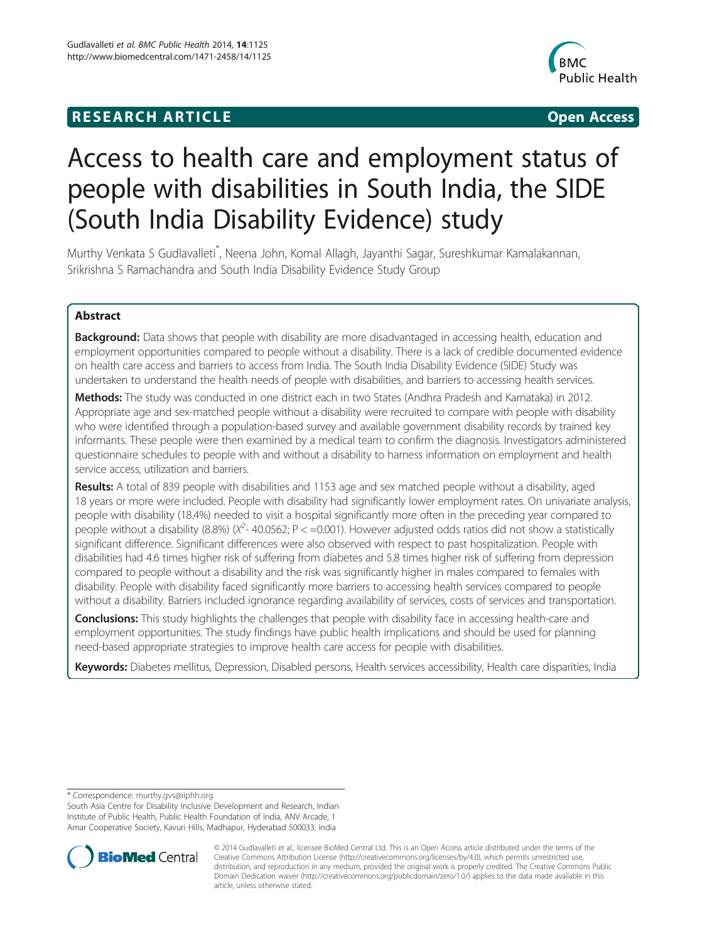# **RESEARCH ARTICLE Example 2018 12:00 Department of the Contract Open Access**



# Access to health care and employment status of people with disabilities in South India, the SIDE (South India Disability Evidence) study

Murthy Venkata S Gudlavalleti\* , Neena John, Komal Allagh, Jayanthi Sagar, Sureshkumar Kamalakannan, Srikrishna S Ramachandra and South India Disability Evidence Study Group

# Abstract

**Background:** Data shows that people with disability are more disadvantaged in accessing health, education and employment opportunities compared to people without a disability. There is a lack of credible documented evidence on health care access and barriers to access from India. The South India Disability Evidence (SIDE) Study was undertaken to understand the health needs of people with disabilities, and barriers to accessing health services.

Methods: The study was conducted in one district each in two States (Andhra Pradesh and Karnataka) in 2012. Appropriate age and sex-matched people without a disability were recruited to compare with people with disability who were identified through a population-based survey and available government disability records by trained key informants. These people were then examined by a medical team to confirm the diagnosis. Investigators administered questionnaire schedules to people with and without a disability to harness information on employment and health service access, utilization and barriers.

Results: A total of 839 people with disabilities and 1153 age and sex matched people without a disability, aged 18 years or more were included. People with disability had significantly lower employment rates. On univariate analysis, people with disability (18.4%) needed to visit a hospital significantly more often in the preceding year compared to people without a disability (8.8%) ( $X^2$ - 40.0562; P < =0.001). However adjusted odds ratios did not show a statistically significant difference. Significant differences were also observed with respect to past hospitalization. People with disabilities had 4.6 times higher risk of suffering from diabetes and 5.8 times higher risk of suffering from depression compared to people without a disability and the risk was significantly higher in males compared to females with disability. People with disability faced significantly more barriers to accessing health services compared to people without a disability. Barriers included ignorance regarding availability of services, costs of services and transportation.

**Conclusions:** This study highlights the challenges that people with disability face in accessing health-care and employment opportunities. The study findings have public health implications and should be used for planning need-based appropriate strategies to improve health care access for people with disabilities.

Keywords: Diabetes mellitus, Depression, Disabled persons, Health services accessibility, Health care disparities, India

\* Correspondence: [murthy.gvs@iiphh.org](mailto:murthy.gvs@iiphh.org)

South Asia Centre for Disability Inclusive Development and Research, Indian Institute of Public Health, Public Health Foundation of India, ANV Arcade, 1 Amar Cooperative Society, Kavuri Hills, Madhapur, Hyderabad 500033, India



© 2014 Gudlavalleti et al.; licensee BioMed Central Ltd. This is an Open Access article distributed under the terms of the Creative Commons Attribution License (<http://creativecommons.org/licenses/by/4.0>), which permits unrestricted use, distribution, and reproduction in any medium, provided the original work is properly credited. The Creative Commons Public Domain Dedication waiver [\(http://creativecommons.org/publicdomain/zero/1.0/\)](http://creativecommons.org/publicdomain/zero/1.0/) applies to the data made available in this article, unless otherwise stated.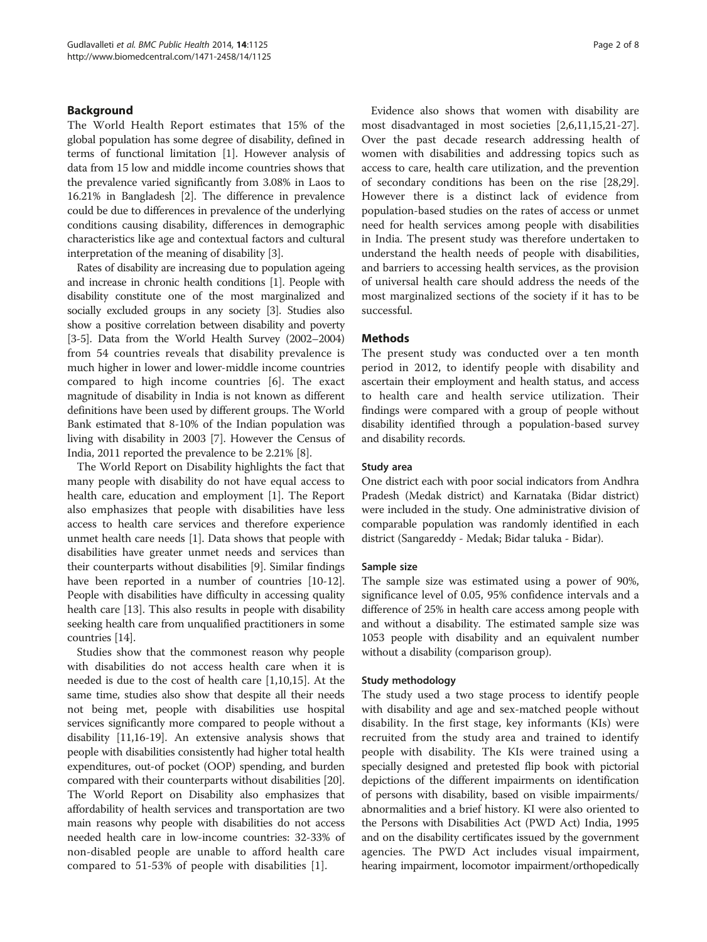## Background

The World Health Report estimates that 15% of the global population has some degree of disability, defined in terms of functional limitation [\[1](#page-7-0)]. However analysis of data from 15 low and middle income countries shows that the prevalence varied significantly from 3.08% in Laos to 16.21% in Bangladesh [[2](#page-7-0)]. The difference in prevalence could be due to differences in prevalence of the underlying conditions causing disability, differences in demographic characteristics like age and contextual factors and cultural interpretation of the meaning of disability [[3\]](#page-7-0).

Rates of disability are increasing due to population ageing and increase in chronic health conditions [\[1\]](#page-7-0). People with disability constitute one of the most marginalized and socially excluded groups in any society [\[3](#page-7-0)]. Studies also show a positive correlation between disability and poverty [[3](#page-7-0)-[5\]](#page-7-0). Data from the World Health Survey (2002–2004) from 54 countries reveals that disability prevalence is much higher in lower and lower-middle income countries compared to high income countries [\[6](#page-7-0)]. The exact magnitude of disability in India is not known as different definitions have been used by different groups. The World Bank estimated that 8-10% of the Indian population was living with disability in 2003 [\[7](#page-7-0)]. However the Census of India, 2011 reported the prevalence to be 2.21% [\[8\]](#page-7-0).

The World Report on Disability highlights the fact that many people with disability do not have equal access to health care, education and employment [[1\]](#page-7-0). The Report also emphasizes that people with disabilities have less access to health care services and therefore experience unmet health care needs [\[1](#page-7-0)]. Data shows that people with disabilities have greater unmet needs and services than their counterparts without disabilities [\[9](#page-7-0)]. Similar findings have been reported in a number of countries [[10](#page-7-0)-[12](#page-7-0)]. People with disabilities have difficulty in accessing quality health care [\[13\]](#page-7-0). This also results in people with disability seeking health care from unqualified practitioners in some countries [\[14](#page-7-0)].

Studies show that the commonest reason why people with disabilities do not access health care when it is needed is due to the cost of health care [[1,10,15\]](#page-7-0). At the same time, studies also show that despite all their needs not being met, people with disabilities use hospital services significantly more compared to people without a disability [\[11,16-19\]](#page-7-0). An extensive analysis shows that people with disabilities consistently had higher total health expenditures, out-of pocket (OOP) spending, and burden compared with their counterparts without disabilities [[20](#page-7-0)]. The World Report on Disability also emphasizes that affordability of health services and transportation are two main reasons why people with disabilities do not access needed health care in low-income countries: 32-33% of non-disabled people are unable to afford health care compared to 51-53% of people with disabilities [\[1](#page-7-0)].

Evidence also shows that women with disability are most disadvantaged in most societies [[2,6,11,15,21-27](#page-7-0)]. Over the past decade research addressing health of women with disabilities and addressing topics such as access to care, health care utilization, and the prevention of secondary conditions has been on the rise [\[28,29](#page-7-0)]. However there is a distinct lack of evidence from population-based studies on the rates of access or unmet need for health services among people with disabilities in India. The present study was therefore undertaken to understand the health needs of people with disabilities, and barriers to accessing health services, as the provision of universal health care should address the needs of the most marginalized sections of the society if it has to be successful.

#### **Methods**

The present study was conducted over a ten month period in 2012, to identify people with disability and ascertain their employment and health status, and access to health care and health service utilization. Their findings were compared with a group of people without disability identified through a population-based survey and disability records.

#### Study area

One district each with poor social indicators from Andhra Pradesh (Medak district) and Karnataka (Bidar district) were included in the study. One administrative division of comparable population was randomly identified in each district (Sangareddy - Medak; Bidar taluka - Bidar).

### Sample size

The sample size was estimated using a power of 90%, significance level of 0.05, 95% confidence intervals and a difference of 25% in health care access among people with and without a disability. The estimated sample size was 1053 people with disability and an equivalent number without a disability (comparison group).

#### Study methodology

The study used a two stage process to identify people with disability and age and sex-matched people without disability. In the first stage, key informants (KIs) were recruited from the study area and trained to identify people with disability. The KIs were trained using a specially designed and pretested flip book with pictorial depictions of the different impairments on identification of persons with disability, based on visible impairments/ abnormalities and a brief history. KI were also oriented to the Persons with Disabilities Act (PWD Act) India, 1995 and on the disability certificates issued by the government agencies. The PWD Act includes visual impairment, hearing impairment, locomotor impairment/orthopedically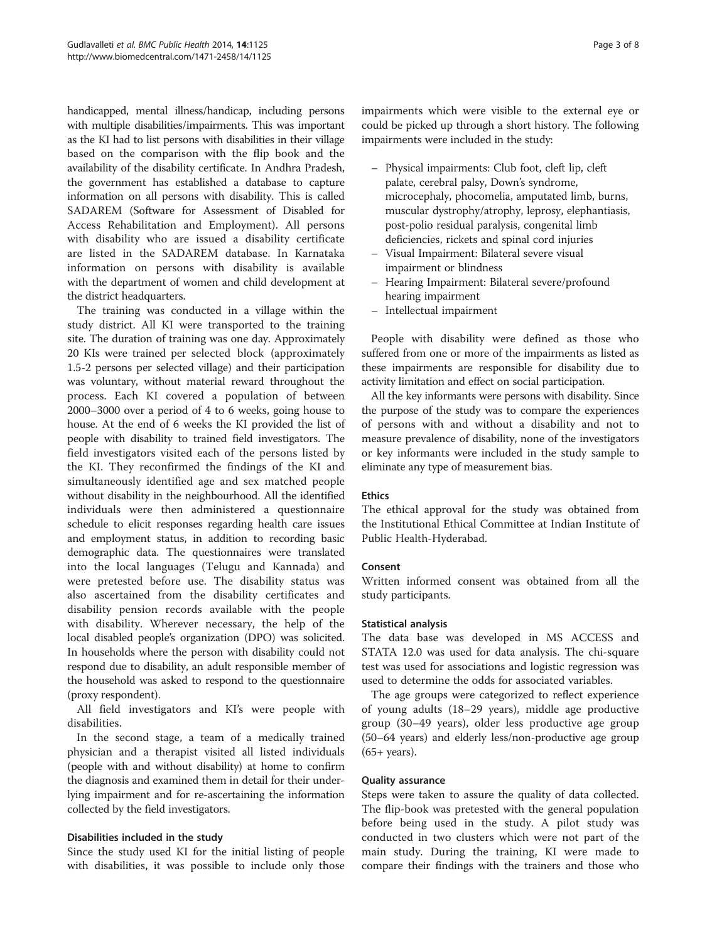handicapped, mental illness/handicap, including persons with multiple disabilities/impairments. This was important as the KI had to list persons with disabilities in their village based on the comparison with the flip book and the availability of the disability certificate. In Andhra Pradesh, the government has established a database to capture information on all persons with disability. This is called SADAREM (Software for Assessment of Disabled for Access Rehabilitation and Employment). All persons with disability who are issued a disability certificate are listed in the SADAREM database. In Karnataka information on persons with disability is available with the department of women and child development at the district headquarters.

The training was conducted in a village within the study district. All KI were transported to the training site. The duration of training was one day. Approximately 20 KIs were trained per selected block (approximately 1.5-2 persons per selected village) and their participation was voluntary, without material reward throughout the process. Each KI covered a population of between 2000–3000 over a period of 4 to 6 weeks, going house to house. At the end of 6 weeks the KI provided the list of people with disability to trained field investigators. The field investigators visited each of the persons listed by the KI. They reconfirmed the findings of the KI and simultaneously identified age and sex matched people without disability in the neighbourhood. All the identified individuals were then administered a questionnaire schedule to elicit responses regarding health care issues and employment status, in addition to recording basic demographic data. The questionnaires were translated into the local languages (Telugu and Kannada) and were pretested before use. The disability status was also ascertained from the disability certificates and disability pension records available with the people with disability. Wherever necessary, the help of the local disabled people's organization (DPO) was solicited. In households where the person with disability could not respond due to disability, an adult responsible member of the household was asked to respond to the questionnaire (proxy respondent).

All field investigators and KI's were people with disabilities.

In the second stage, a team of a medically trained physician and a therapist visited all listed individuals (people with and without disability) at home to confirm the diagnosis and examined them in detail for their underlying impairment and for re-ascertaining the information collected by the field investigators.

### Disabilities included in the study

Since the study used KI for the initial listing of people with disabilities, it was possible to include only those impairments which were visible to the external eye or could be picked up through a short history. The following impairments were included in the study:

- Physical impairments: Club foot, cleft lip, cleft palate, cerebral palsy, Down's syndrome, microcephaly, phocomelia, amputated limb, burns, muscular dystrophy/atrophy, leprosy, elephantiasis, post-polio residual paralysis, congenital limb deficiencies, rickets and spinal cord injuries
- Visual Impairment: Bilateral severe visual impairment or blindness
- Hearing Impairment: Bilateral severe/profound hearing impairment
- Intellectual impairment

People with disability were defined as those who suffered from one or more of the impairments as listed as these impairments are responsible for disability due to activity limitation and effect on social participation.

All the key informants were persons with disability. Since the purpose of the study was to compare the experiences of persons with and without a disability and not to measure prevalence of disability, none of the investigators or key informants were included in the study sample to eliminate any type of measurement bias.

### Ethics

The ethical approval for the study was obtained from the Institutional Ethical Committee at Indian Institute of Public Health-Hyderabad.

### Consent

Written informed consent was obtained from all the study participants.

#### Statistical analysis

The data base was developed in MS ACCESS and STATA 12.0 was used for data analysis. The chi-square test was used for associations and logistic regression was used to determine the odds for associated variables.

The age groups were categorized to reflect experience of young adults (18–29 years), middle age productive group (30–49 years), older less productive age group (50–64 years) and elderly less/non-productive age group (65+ years).

#### Quality assurance

Steps were taken to assure the quality of data collected. The flip-book was pretested with the general population before being used in the study. A pilot study was conducted in two clusters which were not part of the main study. During the training, KI were made to compare their findings with the trainers and those who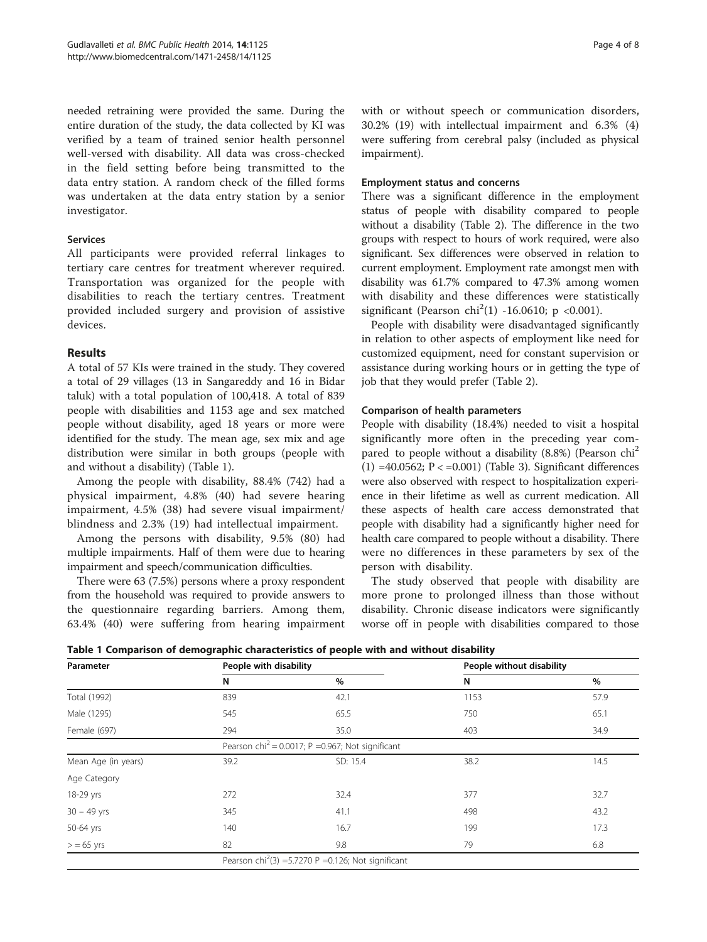needed retraining were provided the same. During the entire duration of the study, the data collected by KI was verified by a team of trained senior health personnel well-versed with disability. All data was cross-checked in the field setting before being transmitted to the data entry station. A random check of the filled forms was undertaken at the data entry station by a senior investigator.

#### Services

All participants were provided referral linkages to tertiary care centres for treatment wherever required. Transportation was organized for the people with disabilities to reach the tertiary centres. Treatment provided included surgery and provision of assistive devices.

# Results

A total of 57 KIs were trained in the study. They covered a total of 29 villages (13 in Sangareddy and 16 in Bidar taluk) with a total population of 100,418. A total of 839 people with disabilities and 1153 age and sex matched people without disability, aged 18 years or more were identified for the study. The mean age, sex mix and age distribution were similar in both groups (people with and without a disability) (Table 1).

Among the people with disability, 88.4% (742) had a physical impairment, 4.8% (40) had severe hearing impairment, 4.5% (38) had severe visual impairment/ blindness and 2.3% (19) had intellectual impairment.

Among the persons with disability, 9.5% (80) had multiple impairments. Half of them were due to hearing impairment and speech/communication difficulties.

There were 63 (7.5%) persons where a proxy respondent from the household was required to provide answers to the questionnaire regarding barriers. Among them, 63.4% (40) were suffering from hearing impairment with or without speech or communication disorders, 30.2% (19) with intellectual impairment and 6.3% (4) were suffering from cerebral palsy (included as physical impairment).

#### Employment status and concerns

There was a significant difference in the employment status of people with disability compared to people without a disability (Table [2\)](#page-4-0). The difference in the two groups with respect to hours of work required, were also significant. Sex differences were observed in relation to current employment. Employment rate amongst men with disability was 61.7% compared to 47.3% among women with disability and these differences were statistically significant (Pearson chi<sup>2</sup>(1) -16.0610; p <0.001).

People with disability were disadvantaged significantly in relation to other aspects of employment like need for customized equipment, need for constant supervision or assistance during working hours or in getting the type of job that they would prefer (Table [2\)](#page-4-0).

### Comparison of health parameters

People with disability (18.4%) needed to visit a hospital significantly more often in the preceding year compared to people without a disability (8.8%) (Pearson chi<sup>2</sup> (1)  $=40.0562$ ;  $P < 0.001$  (Table [3\)](#page-4-0). Significant differences were also observed with respect to hospitalization experience in their lifetime as well as current medication. All these aspects of health care access demonstrated that people with disability had a significantly higher need for health care compared to people without a disability. There were no differences in these parameters by sex of the person with disability.

The study observed that people with disability are more prone to prolonged illness than those without disability. Chronic disease indicators were significantly worse off in people with disabilities compared to those

Table 1 Comparison of demographic characteristics of people with and without disability

| Parameter           | People with disability |                                                                  | People without disability |      |  |
|---------------------|------------------------|------------------------------------------------------------------|---------------------------|------|--|
|                     | N                      | %                                                                | N                         | %    |  |
| Total (1992)        | 839                    | 42.1                                                             | 1153                      | 57.9 |  |
| Male (1295)         | 545                    | 65.5                                                             | 750                       | 65.1 |  |
| Female (697)        | 294                    | 35.0                                                             | 403                       | 34.9 |  |
|                     |                        | Pearson chi <sup>2</sup> = 0.0017; P = 0.967; Not significant    |                           |      |  |
| Mean Age (in years) | 39.2                   | SD: 15.4                                                         | 38.2                      | 14.5 |  |
| Age Category        |                        |                                                                  |                           |      |  |
| 18-29 yrs           | 272                    | 32.4                                                             | 377                       | 32.7 |  |
| $30 - 49$ yrs       | 345                    | 41.1                                                             | 498                       | 43.2 |  |
| 50-64 yrs           | 140                    | 16.7                                                             | 199                       | 17.3 |  |
| $>$ = 65 yrs        | 82                     | 9.8                                                              | 79                        | 6.8  |  |
|                     |                        | Pearson chi <sup>2</sup> (3) = 5.7270 P = 0.126; Not significant |                           |      |  |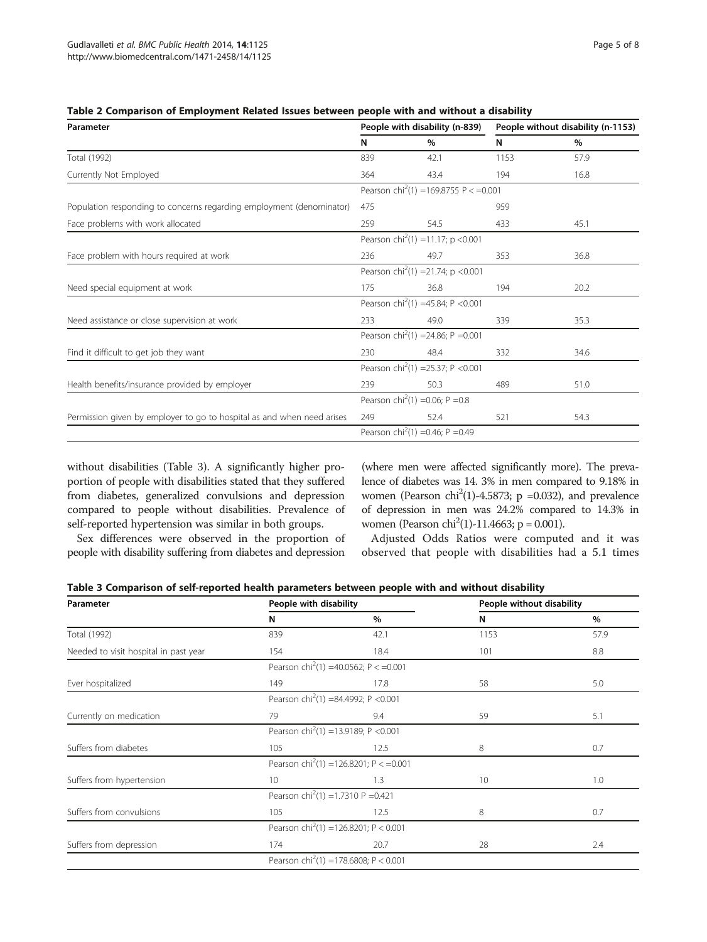| Parameter                                                              |                                                 | People with disability (n-839)                      | People without disability (n-1153) |      |
|------------------------------------------------------------------------|-------------------------------------------------|-----------------------------------------------------|------------------------------------|------|
|                                                                        | N                                               | %                                                   | N                                  | %    |
| Total (1992)                                                           | 839                                             | 42.1                                                | 1153                               | 57.9 |
| Currently Not Employed                                                 | 364                                             | 43.4                                                | 194                                | 16.8 |
|                                                                        |                                                 | Pearson chi <sup>2</sup> (1) = 169.8755 P < = 0.001 |                                    |      |
| Population responding to concerns regarding employment (denominator)   | 475                                             |                                                     | 959                                |      |
| Face problems with work allocated                                      | 259                                             | 54.5                                                | 433                                | 45.1 |
|                                                                        | Pearson chi <sup>2</sup> (1) = 11.17; p < 0.001 |                                                     |                                    |      |
| Face problem with hours required at work                               | 236                                             | 49.7                                                | 353                                | 36.8 |
|                                                                        |                                                 | Pearson chi <sup>2</sup> (1) = 21.74; p < 0.001     |                                    |      |
| Need special equipment at work                                         | 175                                             | 36.8                                                | 194                                | 20.2 |
|                                                                        | Pearson chi <sup>2</sup> (1) = 45.84; P < 0.001 |                                                     |                                    |      |
| Need assistance or close supervision at work                           | 233                                             | 49.0                                                | 339                                | 35.3 |
|                                                                        | Pearson chi <sup>2</sup> (1) = 24.86; P = 0.001 |                                                     |                                    |      |
| Find it difficult to get job they want                                 | 230                                             | 48.4                                                | 332                                | 34.6 |
|                                                                        | Pearson chi <sup>2</sup> (1) = 25.37; P < 0.001 |                                                     |                                    |      |
| Health benefits/insurance provided by employer                         | 239                                             | 50.3                                                | 489                                | 51.0 |
|                                                                        | Pearson chi <sup>2</sup> (1) = 0.06; P = 0.8    |                                                     |                                    |      |
| Permission given by employer to go to hospital as and when need arises | 249                                             | 52.4                                                | 521                                | 54.3 |
|                                                                        |                                                 | Pearson chi <sup>2</sup> (1) =0.46; P =0.49         |                                    |      |

<span id="page-4-0"></span>Table 2 Comparison of Employment Related Issues between people with and without a disability

without disabilities (Table 3). A significantly higher proportion of people with disabilities stated that they suffered from diabetes, generalized convulsions and depression compared to people without disabilities. Prevalence of self-reported hypertension was similar in both groups.

(where men were affected significantly more). The prevalence of diabetes was 14. 3% in men compared to 9.18% in women (Pearson chi<sup>2</sup>(1)-4.5873; p =0.032), and prevalence of depression in men was 24.2% compared to 14.3% in women (Pearson chi<sup>2</sup>(1)-11.4663; p = 0.001).

Sex differences were observed in the proportion of people with disability suffering from diabetes and depression

Adjusted Odds Ratios were computed and it was observed that people with disabilities had a 5.1 times

| Table 3 Comparison of self-reported health parameters between people with and without disability |  |  |
|--------------------------------------------------------------------------------------------------|--|--|
|--------------------------------------------------------------------------------------------------|--|--|

| Parameter                             | People with disability                          |                                                      | People without disability |      |  |
|---------------------------------------|-------------------------------------------------|------------------------------------------------------|---------------------------|------|--|
|                                       | N                                               | %                                                    | N                         | $\%$ |  |
| Total (1992)                          | 839                                             | 42.1                                                 | 1153                      | 57.9 |  |
| Needed to visit hospital in past year | 154                                             | 18.4                                                 | 101                       | 8.8  |  |
|                                       |                                                 | Pearson chi <sup>2</sup> (1) = 40.0562; P < = 0.001  |                           |      |  |
| Ever hospitalized                     | 149                                             | 17.8                                                 | 58                        | 5.0  |  |
|                                       |                                                 | Pearson chi <sup>2</sup> (1) =84.4992; P <0.001      |                           |      |  |
| Currently on medication               | 79                                              | 9.4                                                  | 59                        | 5.1  |  |
|                                       |                                                 | Pearson chi <sup>2</sup> (1) = 13.9189; P < 0.001    |                           |      |  |
| Suffers from diabetes                 | 105                                             | 12.5                                                 | 8                         | 0.7  |  |
|                                       |                                                 | Pearson chi <sup>2</sup> (1) = 126.8201; P < = 0.001 |                           |      |  |
| Suffers from hypertension             | 10 <sup>°</sup>                                 | 1.3                                                  | 10                        | 1.0  |  |
|                                       | Pearson chi <sup>2</sup> (1) = 1.7310 P = 0.421 |                                                      |                           |      |  |
| Suffers from convulsions              | 105                                             | 12.5                                                 | 8                         | 0.7  |  |
|                                       |                                                 | Pearson chi <sup>2</sup> (1) = 126.8201; P < 0.001   |                           |      |  |
| Suffers from depression               | 174                                             | 20.7                                                 | 28                        | 2.4  |  |
|                                       |                                                 | Pearson chi <sup>2</sup> (1) =178.6808; P < 0.001    |                           |      |  |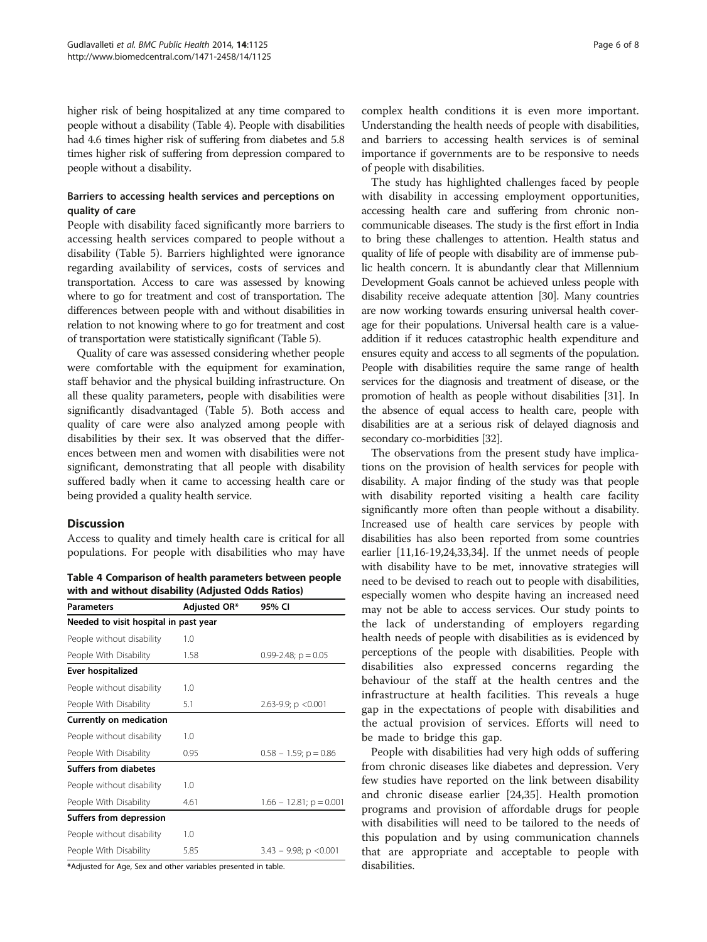higher risk of being hospitalized at any time compared to people without a disability (Table 4). People with disabilities had 4.6 times higher risk of suffering from diabetes and 5.8 times higher risk of suffering from depression compared to people without a disability.

# Barriers to accessing health services and perceptions on quality of care

People with disability faced significantly more barriers to accessing health services compared to people without a disability (Table [5](#page-6-0)). Barriers highlighted were ignorance regarding availability of services, costs of services and transportation. Access to care was assessed by knowing where to go for treatment and cost of transportation. The differences between people with and without disabilities in relation to not knowing where to go for treatment and cost of transportation were statistically significant (Table [5](#page-6-0)).

Quality of care was assessed considering whether people were comfortable with the equipment for examination, staff behavior and the physical building infrastructure. On all these quality parameters, people with disabilities were significantly disadvantaged (Table [5\)](#page-6-0). Both access and quality of care were also analyzed among people with disabilities by their sex. It was observed that the differences between men and women with disabilities were not significant, demonstrating that all people with disability suffered badly when it came to accessing health care or being provided a quality health service.

### **Discussion**

Access to quality and timely health care is critical for all populations. For people with disabilities who may have

Table 4 Comparison of health parameters between people with and without disability (Adjusted Odds Ratios)

| <b>Parameters</b>                     | Adjusted OR* | 95% CI                     |
|---------------------------------------|--------------|----------------------------|
| Needed to visit hospital in past year |              |                            |
| People without disability             | 1.0          |                            |
| People With Disability                | 1.58         | $0.99 - 2.48$ ; $p = 0.05$ |
| Ever hospitalized                     |              |                            |
| People without disability             | 1.0          |                            |
| People With Disability                | 5.1          | 2.63-9.9; $p < 0.001$      |
| Currently on medication               |              |                            |
| People without disability             | 1.0          |                            |
| People With Disability                | 0.95         | $0.58 - 1.59$ ; p = 0.86   |
| Suffers from diabetes                 |              |                            |
| People without disability             | 1.0          |                            |
| People With Disability                | 4.61         | $1.66 - 12.81$ ; p = 0.001 |
| Suffers from depression               |              |                            |
| People without disability             | 1.0          |                            |
| People With Disability                | 5.85         | $3.43 - 9.98$ ; p < 0.001  |

\*Adjusted for Age, Sex and other variables presented in table.

complex health conditions it is even more important. Understanding the health needs of people with disabilities, and barriers to accessing health services is of seminal importance if governments are to be responsive to needs of people with disabilities.

The study has highlighted challenges faced by people with disability in accessing employment opportunities, accessing health care and suffering from chronic noncommunicable diseases. The study is the first effort in India to bring these challenges to attention. Health status and quality of life of people with disability are of immense public health concern. It is abundantly clear that Millennium Development Goals cannot be achieved unless people with disability receive adequate attention [[30](#page-7-0)]. Many countries are now working towards ensuring universal health coverage for their populations. Universal health care is a valueaddition if it reduces catastrophic health expenditure and ensures equity and access to all segments of the population. People with disabilities require the same range of health services for the diagnosis and treatment of disease, or the promotion of health as people without disabilities [\[31](#page-7-0)]. In the absence of equal access to health care, people with disabilities are at a serious risk of delayed diagnosis and secondary co-morbidities [\[32](#page-7-0)].

The observations from the present study have implications on the provision of health services for people with disability. A major finding of the study was that people with disability reported visiting a health care facility significantly more often than people without a disability. Increased use of health care services by people with disabilities has also been reported from some countries earlier [\[11,16](#page-7-0)-[19,24,33,34\]](#page-7-0). If the unmet needs of people with disability have to be met, innovative strategies will need to be devised to reach out to people with disabilities, especially women who despite having an increased need may not be able to access services. Our study points to the lack of understanding of employers regarding health needs of people with disabilities as is evidenced by perceptions of the people with disabilities. People with disabilities also expressed concerns regarding the behaviour of the staff at the health centres and the infrastructure at health facilities. This reveals a huge gap in the expectations of people with disabilities and the actual provision of services. Efforts will need to be made to bridge this gap.

People with disabilities had very high odds of suffering from chronic diseases like diabetes and depression. Very few studies have reported on the link between disability and chronic disease earlier [[24,35\]](#page-7-0). Health promotion programs and provision of affordable drugs for people with disabilities will need to be tailored to the needs of this population and by using communication channels that are appropriate and acceptable to people with disabilities.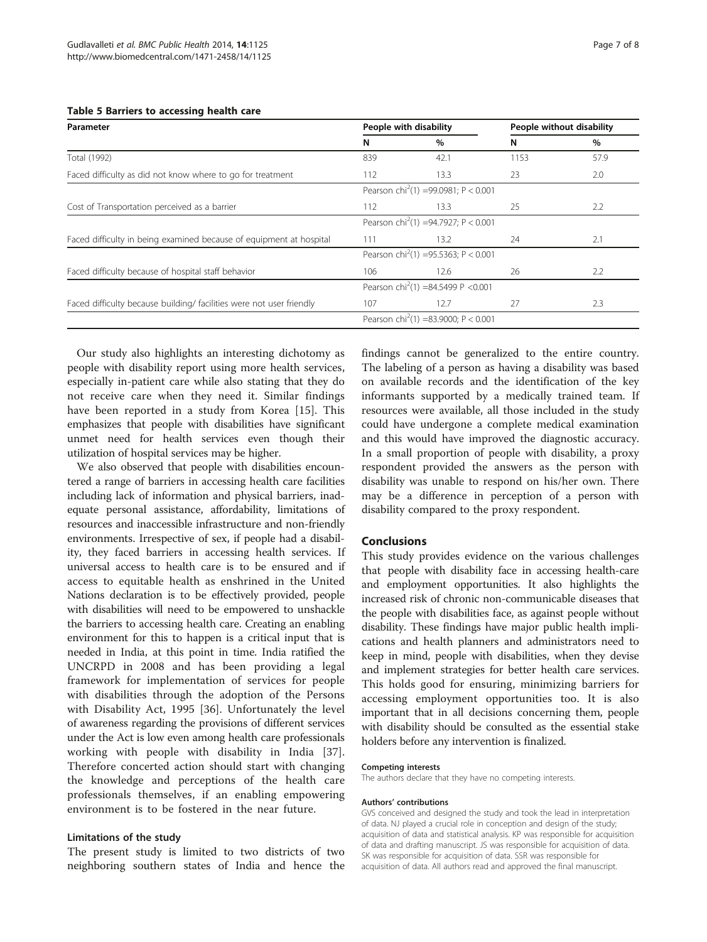<span id="page-6-0"></span>

|  |  |  |  | Table 5 Barriers to accessing health care |  |  |
|--|--|--|--|-------------------------------------------|--|--|
|--|--|--|--|-------------------------------------------|--|--|

| Parameter                                                           | People with disability                           |                                                  | People without disability |      |  |
|---------------------------------------------------------------------|--------------------------------------------------|--------------------------------------------------|---------------------------|------|--|
|                                                                     | N                                                | $\%$                                             | N                         | $\%$ |  |
| Total (1992)                                                        | 839                                              | 42.1                                             | 1153                      | 57.9 |  |
| Faced difficulty as did not know where to go for treatment          | 112                                              | 13.3                                             | 23                        | 2.0  |  |
|                                                                     |                                                  | Pearson chi <sup>2</sup> (1) =99.0981; P < 0.001 |                           |      |  |
| Cost of Transportation perceived as a barrier                       | 112                                              | 13.3                                             | 25                        | 2.2  |  |
|                                                                     | Pearson chi <sup>2</sup> (1) =94.7927; P < 0.001 |                                                  |                           |      |  |
| Faced difficulty in being examined because of equipment at hospital | 111                                              | $13.2^{\circ}$                                   | 24                        | 2.1  |  |
|                                                                     |                                                  | Pearson chi <sup>2</sup> (1) =95.5363; P < 0.001 |                           |      |  |
| Faced difficulty because of hospital staff behavior                 | 106                                              | 12.6                                             | 26                        | 2.2  |  |
|                                                                     | Pearson chi <sup>2</sup> (1) =84.5499 P <0.001   |                                                  |                           |      |  |
| Faced difficulty because building/facilities were not user friendly | 107                                              | 12.7                                             | 27                        | 2.3  |  |
|                                                                     |                                                  | Pearson chi <sup>2</sup> (1) =83.9000; P < 0.001 |                           |      |  |

Our study also highlights an interesting dichotomy as people with disability report using more health services, especially in-patient care while also stating that they do not receive care when they need it. Similar findings have been reported in a study from Korea [[15\]](#page-7-0). This emphasizes that people with disabilities have significant unmet need for health services even though their utilization of hospital services may be higher.

We also observed that people with disabilities encountered a range of barriers in accessing health care facilities including lack of information and physical barriers, inadequate personal assistance, affordability, limitations of resources and inaccessible infrastructure and non-friendly environments. Irrespective of sex, if people had a disability, they faced barriers in accessing health services. If universal access to health care is to be ensured and if access to equitable health as enshrined in the United Nations declaration is to be effectively provided, people with disabilities will need to be empowered to unshackle the barriers to accessing health care. Creating an enabling environment for this to happen is a critical input that is needed in India, at this point in time. India ratified the UNCRPD in 2008 and has been providing a legal framework for implementation of services for people with disabilities through the adoption of the Persons with Disability Act, 1995 [[36\]](#page-7-0). Unfortunately the level of awareness regarding the provisions of different services under the Act is low even among health care professionals working with people with disability in India [\[37](#page-7-0)]. Therefore concerted action should start with changing the knowledge and perceptions of the health care professionals themselves, if an enabling empowering environment is to be fostered in the near future.

#### Limitations of the study

The present study is limited to two districts of two neighboring southern states of India and hence the findings cannot be generalized to the entire country. The labeling of a person as having a disability was based on available records and the identification of the key informants supported by a medically trained team. If resources were available, all those included in the study could have undergone a complete medical examination and this would have improved the diagnostic accuracy. In a small proportion of people with disability, a proxy respondent provided the answers as the person with disability was unable to respond on his/her own. There may be a difference in perception of a person with disability compared to the proxy respondent.

# Conclusions

This study provides evidence on the various challenges that people with disability face in accessing health-care and employment opportunities. It also highlights the increased risk of chronic non-communicable diseases that the people with disabilities face, as against people without disability. These findings have major public health implications and health planners and administrators need to keep in mind, people with disabilities, when they devise and implement strategies for better health care services. This holds good for ensuring, minimizing barriers for accessing employment opportunities too. It is also important that in all decisions concerning them, people with disability should be consulted as the essential stake holders before any intervention is finalized.

#### Competing interests

The authors declare that they have no competing interests.

#### Authors' contributions

GVS conceived and designed the study and took the lead in interpretation of data. NJ played a crucial role in conception and design of the study; acquisition of data and statistical analysis. KP was responsible for acquisition of data and drafting manuscript. JS was responsible for acquisition of data. SK was responsible for acquisition of data. SSR was responsible for acquisition of data. All authors read and approved the final manuscript.